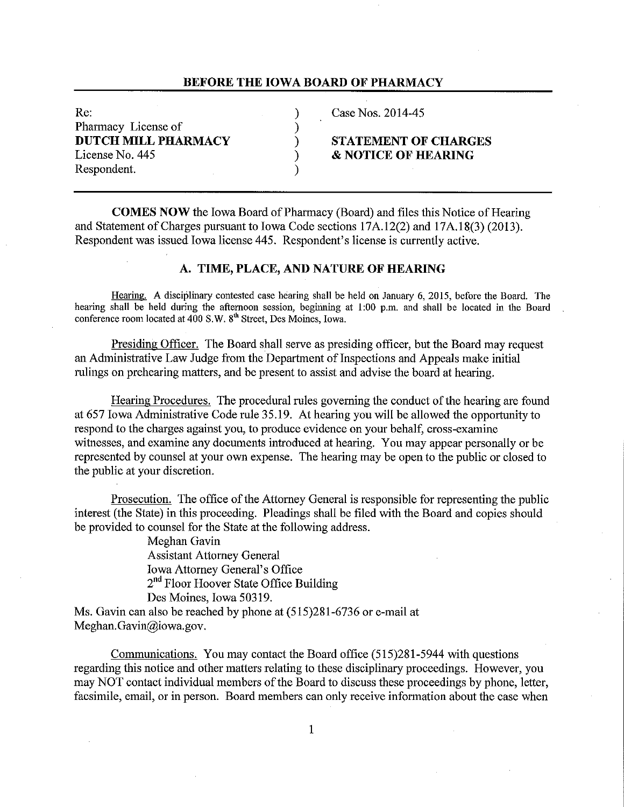#### **BEFORE THE IOWA BOARD OF PHARMACY**

Re: 2014-45 Pharmacy License of (1) **DUTCH MILL PHARMACY** ) **STATEMENT OF CHARGES**  License No. 445 **8 NOTICE OF HEARING** Respondent.

**COMES NOW** the Iowa Board of Pharmacy (Board) and files this Notice of Hearing and Statement of Charges pursuant to Iowa Code sections 17A.12(2) and 17A.18(3) (2013). Respondent was issued Iowa license 445. Respondent's license is currently active.

## **A. TIME, PLACE, AND NATURE OF HEARING**

Hearing. A disciplinary contested case hearing shall be held on January 6, 2015, before the Board. The hearing shall be held during the afternoon session, beginning at 1:00 p.m. and shall be located in the Board conference room located at 400 S.W. 8<sup>th</sup> Street, Des Moines, Iowa.

Presiding Officer. The Board shall serve as presiding officer, but the Board may request an Administrative Law Judge from the Department of Inspections and Appeals make initial rulings on prehearing matters, and be present to assist and advise the board at hearing.

Hearing Procedures. The procedural rules governing the conduct ofthe hearing are found at 657 Iowa Administrative Code rule 35.19. At hearing you will be allowed the opportunity to respond to the charges against you, to produce evidence on your behalf, cross-examine witnesses, and examine any documents introduced at hearing. You may appear personally or be represented by counsel at your own expense. The hearing may be open to the public or closed to the public at your discretion.

Prosecution. The office of the Attorney General is responsible for representing the public interest (the State) in this proceeding. Pleadings shall be filed with the Board and copies should be provided to counsel for the State at the following address.

> Meghan Gavin Assistant Attorney General Iowa Attorney General's Office 2<sup>nd</sup> Floor Hoover State Office Building Des Moines, Iowa 50319.

Ms. Gavin can also be reached by phone at (515)281-6736 or e-mail at Meghan. Gavin@iowa.gov.

Communications. You may contact the Board office (515)281-5944 with questions regarding this notice and other matters relating to these disciplinary proceedings. However, you may NOT contact individual members of the Board to discuss these proceedings by phone, letter, facsimile, email, or in person. Board members can only receive information about the case when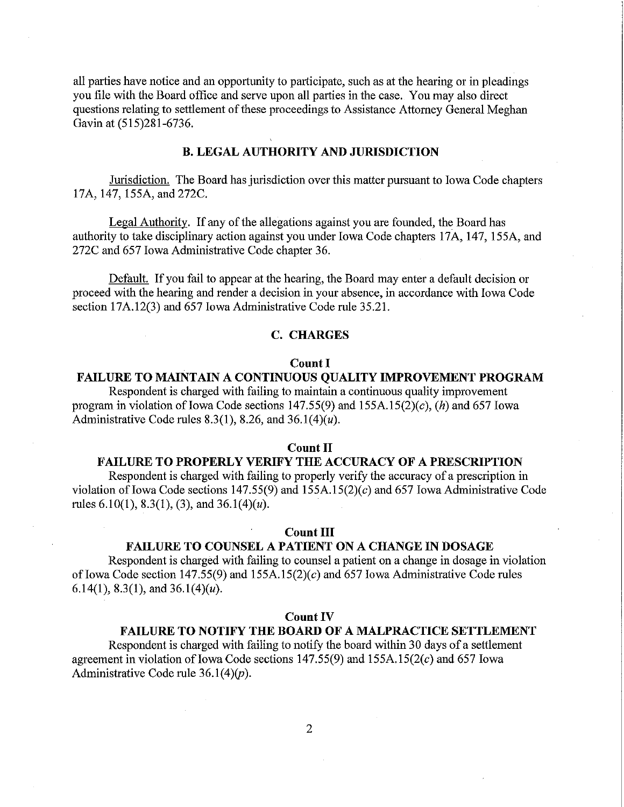all parties have notice and an opportunity to participate, such as at the hearing or in pleadings you file with the Board office and serve upon all parties in the case. You may also direct questions relating to settlement of these proceedings to Assistance Attorney General Meghan Gavin at (515)281-6736.

## **B. LEGAL AUTHORITY AND JURISDICTION**

Jurisdiction. The Board has jurisdiction over this matter pursuant to Iowa Code chapters 17A, 147, 155A, and 272C.

Legal Authority. If any of the allegations against you are founded, the Board has authority to take disciplinary action against you under Iowa Code chapters 17A, 147, 155A, and 272C and 657 Iowa Administrative Code chapter 36.

Default. If you fail to appear at the hearing, the Board may enter a default decision or proceed with the hearing and render a decision in your absence, in accordance with Iowa Code section 17A.12(3) and 657 Iowa Administrative Code rule 35.21.

## **C. CHARGES**

#### **Count I**

## **FAILURE TO MAINTAIN A CONTINUOUS QUALITY IMPROVEMENT PROGRAM**

Respondent is charged with failing to maintain a continuous quality improvement program in violation of Iowa Code sections  $147.55(9)$  and  $155A.15(2)(c)$ , (h) and 657 Iowa Administrative Code rules 8.3(1), 8.26, and 36.1(4) $(u)$ .

### **Count II**

## **FAILURE TO PROPERLY VERIFY THE ACCURACY OF A PRESCRIPTION**

Respondent is charged with failing to properly verify the accuracy of a prescription in violation of Iowa Code sections 147.55(9) and  $155A.15(2)(c)$  and 657 Iowa Administrative Code rules  $6.10(1)$ ,  $8.3(1)$ ,  $(3)$ , and  $36.1(4)(u)$ .

#### **Count III**

## **FAILURE TO COUNSEL A PATIENT ON A CHANGE IN OOSAGE**

Respondent is charged with failing to counsel a patient on a change in dosage in violation of Iowa Code section 147.55(9) and 155A.15(2)(c) and 657 Iowa Administrative Code rules 6.14(1), 8.3(1), and 36.1(4)(*u*).

#### **Count IV**

#### **FAILURE TO NOTIFY THE BOARD OF A MALPRACTICE SETTLEMENT**

Respondent is charged with failing to notify the board within 30 days of a settlement agreement in violation of Iowa Code sections  $147.55(9)$  and  $155A.15(2(c)$  and 657 Iowa Administrative Code rule  $36.1(4)(p)$ .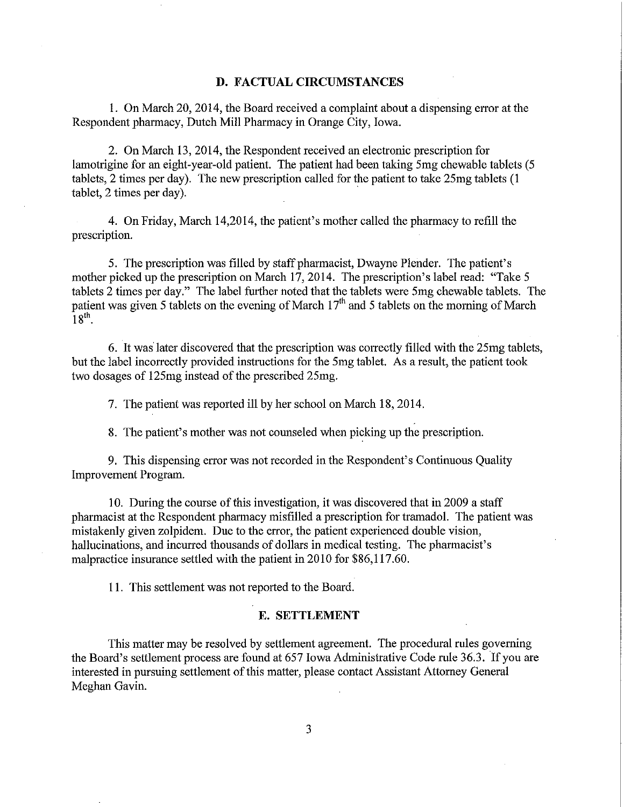#### **D. FACTUAL CIRCUMSTANCES**

1. On March 20, 2014, the Board received a complaint about a dispensing error at the Respondent pharmacy, Dutch Mill Pharmacy in Orange City, Iowa.

2. On March 13, 2014, the Respondent received an electronic prescription for lamotrigine for an eight-year-old patient. The patient had been taking 5mg chewable tablets (5 tablets, 2 times per day). The new prescription called for the patient to take 25mg tablets (1  $tablet$ ,  $2 \times per day$ .

4. On Friday, March 14,2014, the patient's mother called the pharmacy to refill the prescription.

5. The prescription was filled by staff pharmacist, Dwayne Plender. The patient's mother picked up the prescription on March 17, 2014. The prescription's label read: "Take 5 tablets 2 times per day." The label further noted that the tablets were 5mg chewable tablets. The patient was given 5 tablets on the evening of March  $17<sup>th</sup>$  and 5 tablets on the morning of March  $18^{th}$ .

6. It was later discovered that the prescription was correctly filled with the 25mg tablets, but the label incorrectly provided instructions for the 5mg tablet. As a result, the patient took two dosages of 125mg instead of the prescribed 25mg.

7. The patient was reported ill by her school on March 18, 2014.

8. The patient's mother was not counseled when picking up the prescription.

9. This dispensing error was not recorded in the Respondent's Continuous Quality Improvement Program.

10. During the course of this investigation, it was discovered that in 2009 a staff pharmacist at the Respondent pharmacy misfilled a prescription for tramadol. The patient was mistakenly given zolpidem. Due to the error, the patient experienced double vision, hallucinations, and incurred thousands of dollars in medical testing. The pharmacist's malpractice insurance settled with the patient in 2010 for \$86,117.60.

11. This settlement was not reported to the Board.

#### **E. SETTLEMENT**

This matter may be resolved by settlement agreement. The procedural rules governing the Board's settlement process are found at 657 Iowa Administrative Code rule 36.3. If you are interested in pursuing settlement of this matter, please contact Assistant Attorney General Meghan Gavin.

3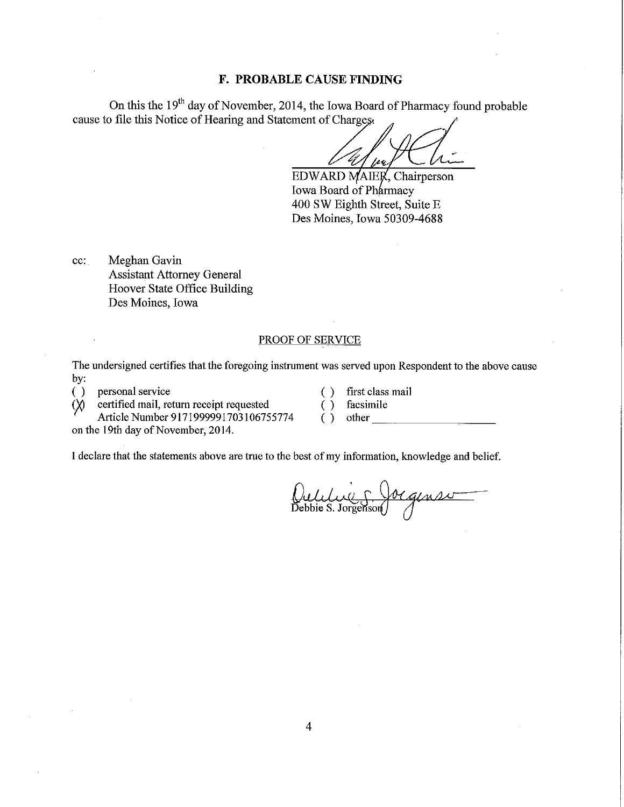## **F. PROBABLE CAUSE FINDING**

On this the 19<sup>th</sup> day of November, 2014, the Iowa Board of Pharmacy found probable cause to file this Notice of Hearing and Statement of Charges,

~~....:::.~:::..f....£.::+-~-=:....::...~~ *HA',,\_* 

EDWARD MAIER, Chairperson Iowa Board of Pharmacy 400 SW Eighth Street, Suite E Des Moines, Iowa 50309-4688

cc: Meghan Gavin Assistant Attorney General Hoover State Office Building Des Moines, Iowa

#### PROOF OF SERVICE

The undersigned certifies that the foregoing instrument was served upon Respondent to the above cause by:

( ) personal service ( ) first class mail ( X) certified mail, return receipt requested ( ) facsimile

certified mail, return receipt requested ( ) facsimile<br>Article Number 9171999991703106755774 ( ) other Article Number 9171999991703106755774

on the 19th day of November, 2014.

I declare that the statements above are true to the best of my information, knowledge and belief.

Oulilie 5 Jorgense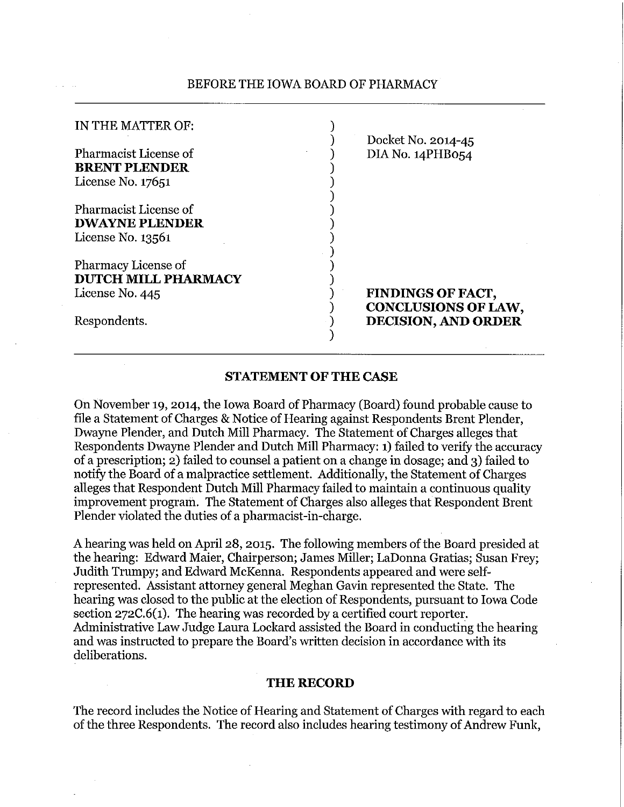## BEFORE THE IOWA BOARD OF PHARMACY

| IN THE MATTER OF:                                                    | Docket No. 2014-45                                     |
|----------------------------------------------------------------------|--------------------------------------------------------|
| Pharmacist License of<br><b>BRENT PLENDER</b><br>License No. 17651   | DIA No. 14PHB054                                       |
| Pharmacist License of<br><b>DWAYNE PLENDER</b><br>License No. 13561  |                                                        |
| Pharmacy License of<br><b>DUTCH MILL PHARMACY</b><br>License No. 445 | <b>FINDINGS OF FACT,</b><br><b>CONCLUSIONS OF LAW,</b> |
| Respondents.                                                         | <b>DECISION, AND ORDER</b>                             |

## **STATEMENT OF THE CASE**

On November 19, 2014, the Iowa Board of Pharmacy (Board) found probable cause to file a Statement of Charges & Notice of Hearing against Respondents Brent Plender, Dwayne Plender, and Dutch Mill Pharmacy. The Statement of Charges alleges that Respondents Dwayne Plender and Dutch Mill Pharmacy: 1) failed to verify the accuracy of a prescription; 2) failed to counsel a patient on a change in dosage; and 3) failed to notify the Board of a malpractice settlement. Additionally, the Statement of Charges alleges that Respondent Dutch Mill Pharmacy failed to maintain a continuous quality improvement program. The Statement of Charges also alleges that Respondent Brent Plender violated the duties of a pharmacist-in-charge.

A hearing was held on April 28, 2015. The following members of the Board presided at the hearing: Edward Maier, Chairperson; James Miller; LaDonna Gratias; Susan Frey; Judith Trumpy; and Edward McKenna. Respondents appeared and were selfrepresented. Assistant attorney general Meghan Gavin represented the State. The hearing was closed to the public at the election of Respondents, pursuant to Iowa Code section 272C.6(1). The hearing was recorded by a certified court reporter. Administrative Law Judge Laura Lockard assisted the Board in conducting the hearing and was instructed to prepare the Board's written decision in accordance with its deliberations.

## **THE RECORD**

The record includes the Notice of Hearing and Statement of Charges with regard to each of the three Respondents. The record also includes hearing testimony of Andrew Funk,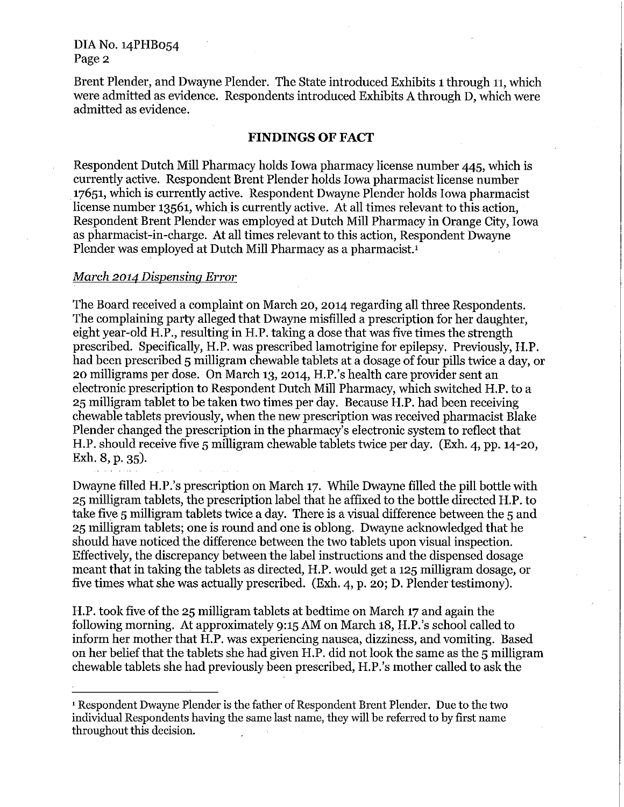Brent Plender, and Dwayne Plender. The State introduced Exhibits 1 through 11, which were admitted as evidence. Respondents introduced Exhibits A through D, which were admitted as evidence.

## **FINDINGS OF FACT**

Respondent Dutch Mill Pharmacy holds Iowa pharmacy license number 445, which is currently active. Respondent Brent Plender holds Iowa pharmacist license number 17651, which is currently active. Respondent Dwayne Plender holds Iowa pharmacist license number 13561, which is currently active. At all times relevant to this action, Respondent Brent Plender was employed at Dutch Mill Pharmacy in Orange City, Iowa as pharmacist-in-charge. At all times relevant to this action, Respondent Dwayne Plender was employed at Dutch Mill Pharmacy as a pharmacist.<sup>1</sup>

## *March 2014 Dispensing Error*

The Board received a complaint on March 20, 2014 regarding all three Respondents. The complaining party alleged that Dwayne misfilled a prescription for her daughter, eight year-old H.P., resulting in H.P. taking a dose that was five times the strength prescribed. Specifically, H.P. was prescribed lamotrigine for epilepsy. Previously, H.P. had been prescribed 5 milligram chewable tablets at a dosage of four pills twice a day, or 20 milligrams per dose. On March 13, 2014, H.P.'s health care provider sent an electronic prescription to Respondent Dutch Mill Pharmacy, which switched H.P. to a 25 milligram tablet to be taken two times per day. Because H.P. had been receiving chewable tablets previously, when the new prescription was received pharmacist Blake Plender changed the prescription in the pharmacy's electronic system to reflect that H.P. should receive five 5 milligram chewable tablets twice per day. (Exh. 4, pp. 14-20, Exh. 8, p. 35).

Dwayne filled H.P.'s prescription on March 17. While Dwayne filled the pill bottle with 25 milligram tablets, the prescription label that he affixed to the bottle directed H.P. to take five 5 milligram tablets twice a day. There is a visual difference between the 5 and 25 milligram tablets; one is round and one is oblong. Dwayne acknowledged that he should have noticed the difference between the two tablets upon visual inspection. Effectively, the discrepancy between the label instructions and the dispensed dosage meant that in taking the tablets as directed, H.P. would get a 125 milligram dosage, or five times what she was actually prescribed. (Exh. 4, p. 20; D. Plender testimony).

H.P. took five of the 25 milligram tablets at bedtime on March 17 and again the following morning. At approximately 9:15 AM on March 18, H.P.'s school called to inform her mother that H.P. was experiencing nausea, dizziness, and vomiting. Based on her belief that the tablets she had given H.P. did not look the same as the 5 milligram chewable tablets she had previously been prescribed, H.P.'s mother called to ask the

<sup>1</sup> Respondent Dwayne Plender is the father of Respondent Brent Plender. Due to the two individual Respondents having the same last name, they will be referred to by first name throughout this decision.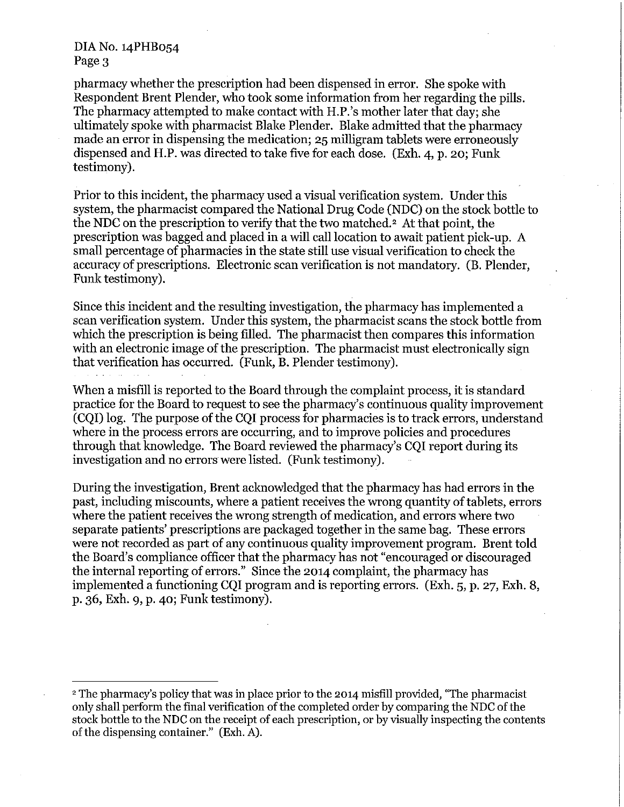pharmacy whether the prescription had been dispensed in error. She spoke with Respondent Brent Plender, who took some information from her regarding the pills. The pharmacy attempted to make contact with H.P.'s mother later that day; she ultimately spoke with pharmacist Blake Plender. Blake admitted that the pharmacy made an error in dispensing the medication; 25 milligram tablets were erroneously dispensed and H.P. was directed to take five for each dose. (Exh. 4, p. 20; Funk testimony).

Prior to this incident, the pharmacy used a visual verification system. Under this system, the pharmacist compared the National Drug Code (NDC) on the stock bottle to the NDC on the prescription to verify that the two matched. 2 At that point, the prescription was bagged and placed in a will call location to await patient pick-up. A small percentage of pharmacies in the state still use visual verification to check the accuracy of prescriptions. Electronic scan verification is not mandatory. (B. Plender, Funk testimony).

Since this incident and the resulting investigation, the pharmacy has implemented a scan verification system. Under this system, the pharmacist scans the stock bottle from which the prescription is being filled. The pharmacist then compares this information with an electronic image of the prescription. The pharmacist must electronically sign that verification has occurred. (Funk, B. Plender testimony).

When a misfill is reported to the Board through the complaint process, it is standard practice for the Board to request to see the pharmacy's continuous quality improvement (CQI) log. The purpose of the CQI process for pharmacies is to track errors, understand where in the process errors are occurring, and to improve policies and procedures through that knowledge. The Board reviewed the pharmacy's CQI report during its investigation and no errors were listed. (Funk testimony).

During the investigation, Brent acknowledged that the pharmacy has had errors in the past, including miscounts, where a patient receives the wrong quantity of tablets, errors where the patient receives the wrong strength of medication, and errors where two separate patients' prescriptions are packaged together in the same bag. These errors were not recorded as part of any continuous quality improvement program. Brent told the Board's compliance officer that the pharmacy has not "encouraged or discouraged the internal reporting of errors." Since the 2014 complaint, the pharmacy has implemented a functioning CQI program and is reporting errors. (Exh. 5, p. 27, Exh. 8, p. 36, Exh. 9, p. 40; Funk testimony).

<sup>2</sup> The pharmacy's policy that was in place prior to the 2014 misfill provided, "The pharmacist only shall perform the final verification of the completed order by comparing the NDC of the stock bottle to the NDC on the receipt of each prescription, or by visually inspecting the contents of the dispensing container." (Exh. A).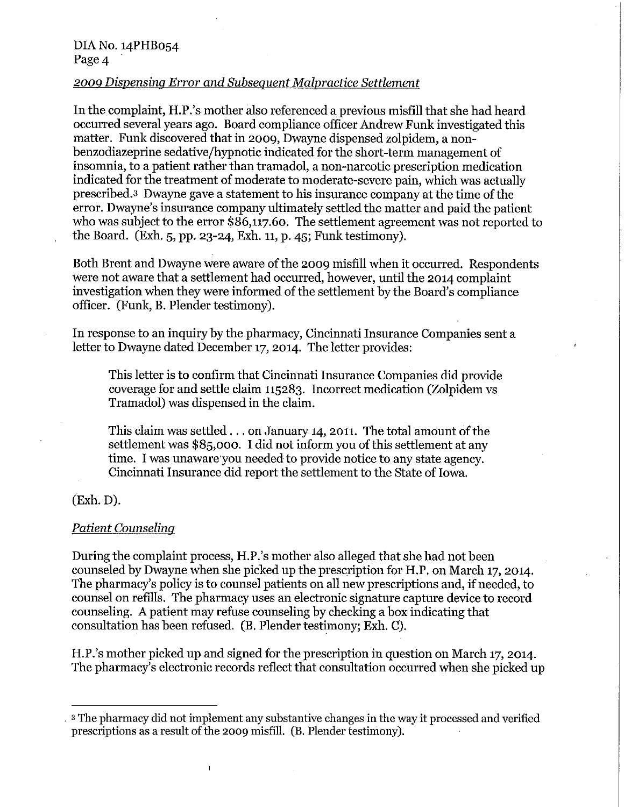## 2009 *Dispensing Error and Subsequent Malpractice Settlement*

In the complaint, H.P.'s mother also referenced a previous misfill that she had heard occurred several years ago. Board compliance officer Andrew Funk investigated this matter. Funk discovered that in 2009, Dwayne dispensed zolpidem, a nonbenzodiazeprine sedative/hypnotic indicated for the short-term management of insomnia, to a patient rather than tramadol, a non-narcotic prescription medication indicated for the treatment of moderate to moderate-severe pain, which was actually prescribed.3 Dwayne gave a statement to his insurance company at the time of the error. Dwayne's insurance company ultimately settled the matter and paid the patient who was subject to the error \$86,117.60. The settlement agreement was not reported to the Board. (Exh. 5, pp. 23-24, Exh. 11, p. 45; Funk testimony).

Both Brent and Dwayne were aware of the 2009 misfill when it occurred. Respondents were not aware that a settlement had occurred, however, until the 2014 complaint investigation when they were informed of the settlement by the Board's compliance officer. (Funk, B. Plender testimony).

In response to an inquiry by the pharmacy, Cincinnati Insurance Companies sent a letter to Dwayne dated December 17, 2014. The letter provides:

This letter is to confirm that Cincinnati Insurance Companies did provide coverage for and settle claim 115283. Incorrect medication (Zolpidem vs Tramadol) was dispensed in the claim.

This claim was settled  $\ldots$  on January 14, 2011. The total amount of the settlement was \$85,000. I did not inform you of this settlement at any time. I was unaware you needed to provide notice to any state agency. Cincinnati Insurance did report the settlement to the State of Iowa.

# (Exh. D).

## *Patient Counseling*

During the complaint process, H.P.'s mother also alleged that she had not been counseled by Dwayne when she picked up the prescription for H.P. on March 17, 2014. The pharmacy's policy is to counsel patients on all new prescriptions and, if needed, to counsel on refills. The pharmacy uses an electronic signature capture device to record counseling. A patient may refuse counseling by checking a box indicating that consultation has been refused. (B. Plender testimony; Exh. C).

H.P.'s mother picked up and signed for the prescription in question on March 17, 2014. The pharmacy's electronic records reflect that consultation occurred when she picked up

 $\overline{1}$ 

<sup>.</sup> s The pharmacy did not implement any substantive changes in the way it processed and verified prescriptions as a result of the 2009 misfill. (B. Plender testimony).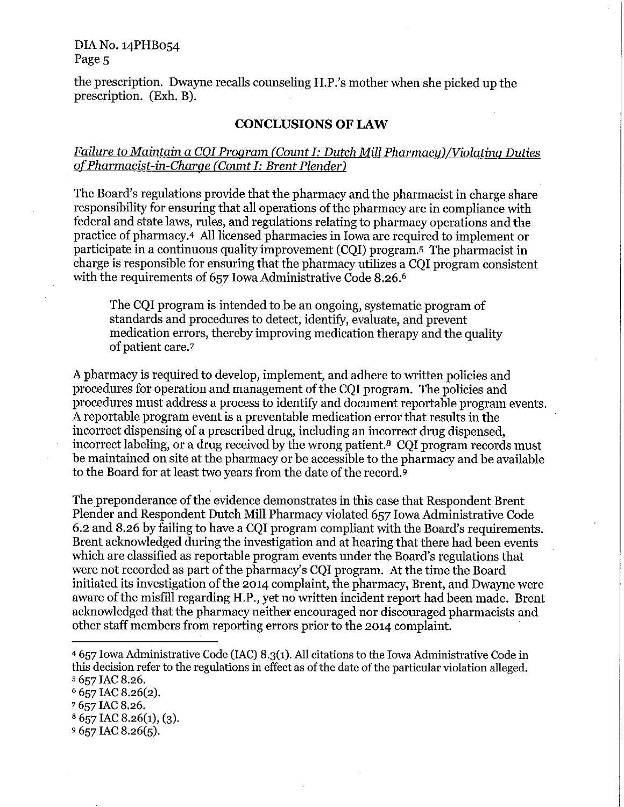DIA No. 14PHB054 Page<sub>5</sub>

the prescription. Dwayne recalls counseling H.P.'s mother when she picked up the prescription. (Exh. B).

## **CONCLUSIONS OF LAW**

# *Failure to Maintain a COI Program (Count I: Dutch Mill Pharmacy)/Violating Duties ofPharmacist-in-Charge (Count I: Brent Plender)*

The Board's regulations provide that the pharmacy and the pharmacist in charge share responsibility for ensuring that all operations of the pharmacy are in compliance with federal and state laws, rules, and regulations relating to pharmacy operations and the practice of pharmacy.4 All licensed pharmacies in Iowa are required to implement or participate in a continuous quality improvement (CQI) program.s The pharmacist in charge is responsible for ensuring that the pharmacy utilizes a CQI program consistent with the requirements of 657 Iowa Administrative Code 8.26. 6

The CQI program is intended to be an ongoing, systematic program of standards and procedures to detect, identify, evaluate, and prevent medication errors, thereby improving medication therapy and the quality of patient care.7

A pharmacy is required to develop, implement, and adhere to written policies and procedures for operation and management of the CQI program. The policies and procedures must address a process to identify and document reportable program events. A reportable program event is a preventable medication error that results in the incorrect dispensing of a prescribed drug, including an incorrect drug dispensed, incorrect labeling, or a drug received by the wrong patient.8 CQI program records must be maintained on site at the pharmacy or be accessible to the pharmacy and be available to the Board for at least two years from the date of the record.<sup>9</sup>

The preponderance of the evidence demonstrates in this case that Respondent Brent Plender and Respondent Dutch Mill Pharmacy violated 657 Iowa Administrative Code 6.2 and 8.26 by failing to have a CQI program compliant with the Board's requirements. Brent acknowledged during the investigation and at hearing that there had been events which are classified as reportable program events under the Board's regulations that were not recorded as part of the pharmacy's CQI program. At the time the Board initiated its investigation of the 2014 complaint, the pharmacy, Brent, and Dwayne were aware of the misfill regarding H.P., yet no written incident report had been made. Brent acknowledged that the pharmacy neither encouraged nor discouraged pharmacists and other staff members from reporting errors prior to the 2014 complaint.

 $8657$  IAC 8.26(1), (3).

<sup>&</sup>quot;657 Iowa Administrative Code (IAC) 8.3(1). All citations to the Iowa Administrative Code in this decision refer to the regulations in effect as of the date of the particular violation alleged. s 657 IAC 8.26.

 $6$  657 IAC 8.26(2).

<sup>7 657</sup> IAC 8.26.

 $9657$  IAC 8.26(5).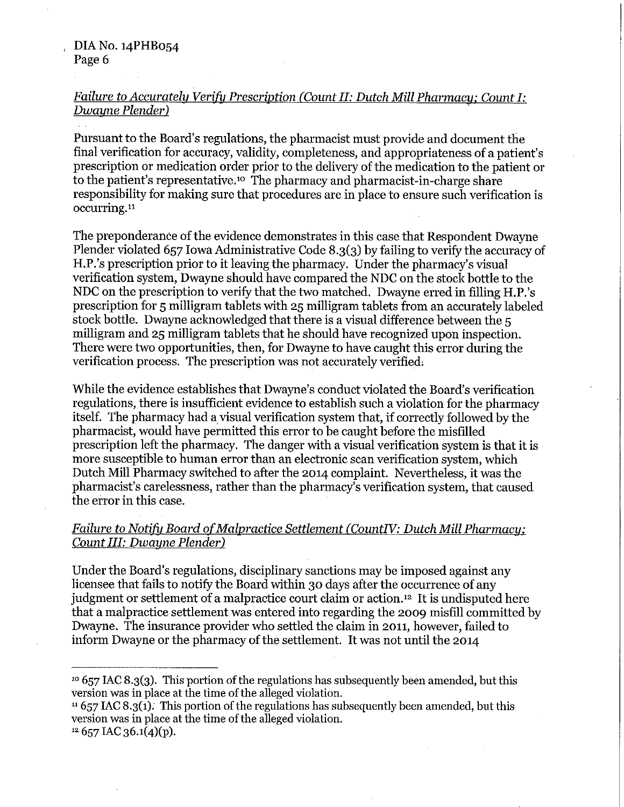# *Failure to Accurately Verify Prescription (Count II: Dutch Mill Pharmacy: Count I:*   $Dw$ *ayne Plender*)

Pursuant to the Board's regulations, the pharmacist must provide and document the final verification for accuracy, validity, completeness, and appropriateness of a patient's prescription or medication order prior to the delivery of the medication to the patient or to the patient's representative.<sup>10</sup> The pharmacy and pharmacist-in-charge share responsibility for making sure that procedures are in place to ensure such verification is occurring.<sup>11</sup>

The preponderance of the evidence demonstrates in this case that Respondent Dwayne Plender violated 657 Iowa Administrative Code 8.3(3) by failing to verify the accuracy of H.P.'s prescription prior to it leaving the pharmacy. Under the pharmacy's visual verification system, Dwayne should have compared the NDC on the stock bottle to the NDC on the prescription to verify that the two matched. Dwayne erred in filling H.P.'s prescription for 5 milligram tablets with 25 milligram tablets from an accurately labeled stock bottle. Dwayne acknowledged that there is a visual difference between the 5 milligram and 25 milligram tablets that he should have recognized upon inspection. There were two opportunities, then, for Dwayne to have caught this error during the verification process. The prescription was not accurately verified,

While the evidence establishes that Dwayne's conduct violated the Board's verification regulations, there is insufficient evidence to establish such a violation for the pharmacy itself. The pharmacy had a visual verification system that, if correctly followed by the pharmacist, would have permitted this error to be caught before the misfilled prescription left the pharmacy. The danger with a visual verification system is that it is more susceptible to human error than an electronic scan verification system, which Dutch Mill Pharmacy switched to after the 2014 complaint. Nevertheless, it was the pharmacist's carelessness, rather than the pharmacy's verification system, that caused the error in this case.

# *Failure to Notify Board of Malpractice Settlement (CountIV: Dutch Mill Pharmacy: Count III: Dwayne Plender)*

Under the Board's regulations, disciplinary sanctions may be imposed against any licensee that fails to notify the Board within 30 days after the occurrence of any judgment or settlement of a malpractice court claim or action.12 It is undisputed here that a malpractice settlement was entered into regarding the 2009 misfill committed by Dwayne. The insurance provider who settled the claim in 2011, however, failed to inform Dwayne or the pharmacy of the settlement. It was not until the 2014

 $11657$  IAC 8.3(1). This portion of the regulations has subsequently been amended, but this version was in place at the time of the alleged violation.

 $12\,657$  IAC 36.1(4)(p).

<sup>&</sup>lt;sup>10</sup> 657 IAC 8.3(3). This portion of the regulations has subsequently been amended, but this version was in place at the time of the alleged violation.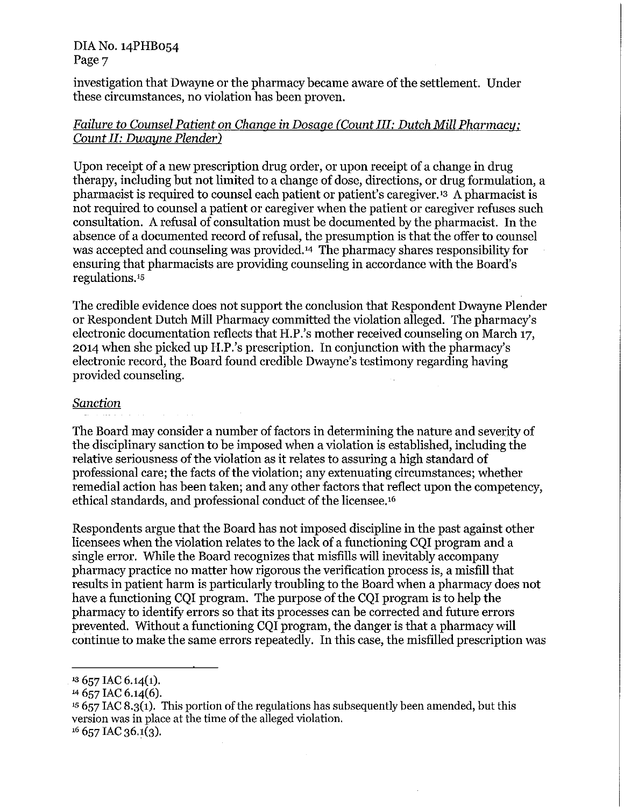## DIA No. 14PHB054 Page<sub>7</sub>

investigation that Dwayne or the pharmacy became aware of the settlement. Under these circumstances, no violation has been proven.

# *Failure to Counsel Patient on Change* in *Dosage (Count III: Dutch Mill Pharmacy: Count II: Dwayne Plender)*

Upon receipt of a new prescription drug order, or upon receipt of a change in drug therapy, including but not limited to a change of dose, directions, or drug formulation, a pharmacist is required to counsel each patient or patient's caregiver.<sup>13</sup> A pharmacist is not required to counsel a patient or caregiver when the patient or caregiver refuses such consultation. A refusal of consultation must be documented by the pharmacist. In the absence of a documented record of refusal, the presumption is that the offer to counsel was accepted and counseling was provided.14 The pharmacy shares responsibility for ensuring that pharmacists are providing counseling in accordance with the Board's regulations.is

The credible evidence does not support the conclusion that Respondent Dwayne Plender or Respondent Dutch Mill Pharmacy committed the violation alleged. The pharmacy's electronic documentation reflects that H.P.'s mother received counseling on March 17, 2014 when she picked up H.P.'s prescription. In conjunction with the pharmacy's electronic record, the Board found credible Dwayne's testimony regarding having provided counseling.

# *Sanction*

The Board may consider a number of factors in determining the nature and severity of the disciplinary sanction to be imposed when a violation is established, including the relative seriousness of the violation as it relates to assuring a high standard of professional care; the facts of the violation; any extenuating circumstances; whether remedial action has been taken; and any other factors that reflect upon the competency, ethical standards, and professional conduct of the licensee.16

Respondents argue that the Board has not imposed discipline in the past against other licensees when the violation relates to the lack of a functioning CQI program and a single error. While the Board recognizes that misfills will inevitably accompany pharmacy practice no matter how rigorous the verification process is, a misfill that results in patient harm is particularly troubling to the Board when a pharmacy does not have a functioning CQI program. The purpose of the CQI program is to help the pharmacy to identify errors so that its processes can be corrected and future errors prevented. Without a functioning CQI program, the danger is that a pharmacy will continue to make the same errors repeatedly. In this case, the misfilled prescription was

 $13\,657$  IAC 6.14(1).

<sup>&</sup>lt;sup>14</sup> 657 IAC 6.14(6).

 $15657$  IAC 8.3(1). This portion of the regulations has subsequently been amended, but this version was in place at the time of the alleged violation.  $16$  657 IAC 36.1(3).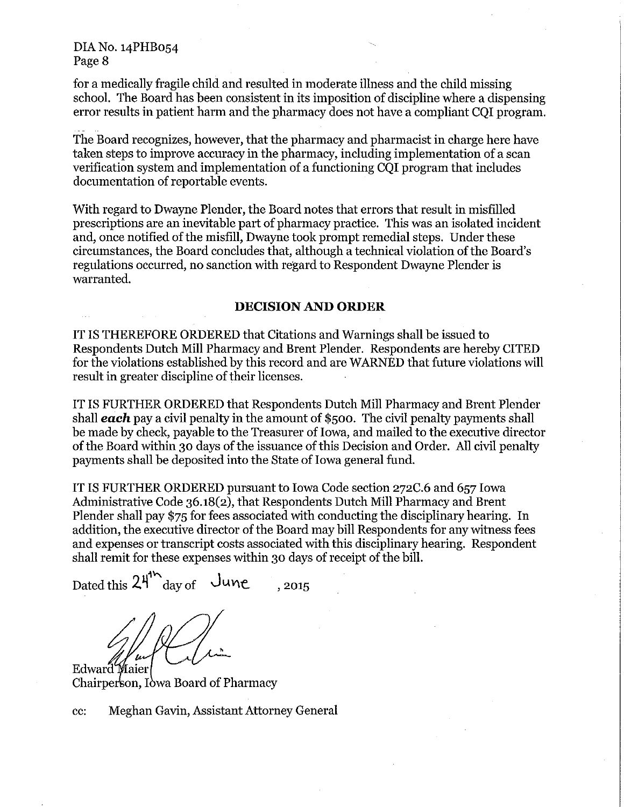for a medically fragile child and resulted in moderate illness and the child missing school. The Board has been consistent in its imposition of discipline where a dispensing error results in patient harm and the pharmacy does not have a compliant CQI program.

The Board recognizes, however, that the pharmacy and pharmacist in charge here have taken steps to improve accuracy in the pharmacy, including implementation of a scan verification system and implementation of a functioning CQI program that includes documentation of reportable events.

With regard to Dwayne Plender, the Board notes that errors that result in misfilled prescriptions are an inevitable part of pharmacy practice. This was an isolated incident and, once notified of the misfill, Dwayne took prompt remedial steps. Under these circumstances, the Board concludes that, although a technical violation of the Board's regulations occurred, no sanction with regard to Respondent Dwayne Plender is warranted.

## **DECISION AND ORDER**

IT IS THEREFORE ORDERED that Citations and Warnings shall be issued to Respondents Dutch Mill Pharmacy and Brent Plender. Respondents are hereby CITED for the violations established by this record and are WARNED that future violations will result in greater discipline of their licenses.

IT IS FURTHER ORDERED that Respondents Dutch Mill Pharmacy and Brent Plender shall *each* pay a civil penalty in the amount of \$500. The civil penalty payments shall be made by check, payable to the Treasurer of Iowa, and mailed to the executive director of the Board within 30 days of the issuance ofthis Decision and Order. All civil penalty payments shall be deposited into the State of Iowa general fund.

IT IS FURTHER ORDERED pursuant to Iowa Code section 272C.6 and 657 Iowa Administrative Code 36.18(2), that Respondents Dutch Mill Pharmacy and Brent Plender shall pay \$75 for fees associated with conducting the disciplinary hearing. In addition, the executive director of the Board may bill Respondents for any witness fees and expenses or transcript costs associated with this disciplinary hearing. Respondent shall remit for these expenses within 30 days of receipt of the bill.

Dated this  $24^{\prime\prime}$  day of June<sub>.</sub>...

Edward Maier Chairperson, I owa Board of Pharmacy

cc: Meghan Gavin, Assistant Attorney General